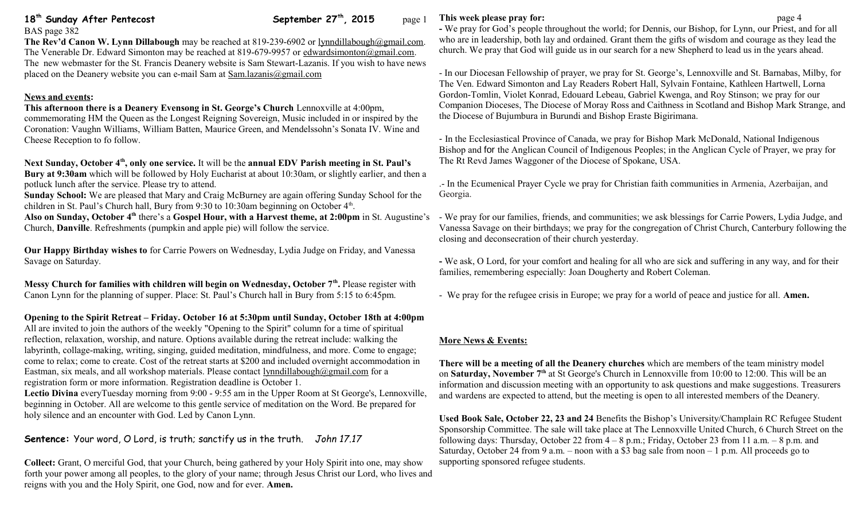# 18<sup>th</sup> Sunday After Pentecost September 27<sup>th</sup>, 2015 page 1

BAS page 382

#### **The Rev'd Canon W. Lynn Dillabough** may be reached at 819-239-6902 or [lynndillabough@gmail.com.](mailto:lynndillabough@gmail.com) The Venerable Dr. Edward Simonton may be reached at 819-679-9957 or [edwardsimonton@gmail.com.](mailto:edwardsimonton@gmail.com) The new webmaster for the St. Francis Deanery website is Sam Stewart-Lazanis. If you wish to have news placed on the Deanery website you can e-mail Sam at [Sam.lazanis@gmail.com](mailto:Sam.lazanis@gmail.com)

### **News and events:**

**This afternoon there is a Deanery Evensong in St. George's Church** Lennoxville at 4:00pm, commemorating HM the Queen as the Longest Reigning Sovereign, Music included in or inspired by the Coronation: Vaughn Williams, William Batten, Maurice Green, and Mendelssohn's Sonata IV. Wine and Cheese Reception to fo follow.

### **Next Sunday, October 4th, only one service.** It will be the **annual EDV Parish meeting in St. Paul's**

**Bury at 9:30am** which will be followed by Holy Eucharist at about 10:30am, or slightly earlier, and then a potluck lunch after the service. Please try to attend.

**Sunday School:** We are pleased that Mary and Craig McBurney are again offering Sunday School for the children in St. Paul's Church hall, Bury from 9:30 to 10:30am beginning on October 4<sup>th</sup>.

Also on Sunday, October 4<sup>th</sup> there's a Gospel Hour, with a Harvest theme, at 2:00pm in St. Augustine's - We pray for our families, friends, and communities; we ask blessings for Carrie Powers, Lydia Judge, and Church, **Danville**. Refreshments (pumpkin and apple pie) will follow the service.

**Our Happy Birthday wishes to** for Carrie Powers on Wednesday, Lydia Judge on Friday, and Vanessa Savage on Saturday.

**Messy Church for families with children will begin on Wednesday, October 7th .** Please register with Canon Lynn for the planning of supper. Place: St. Paul's Church hall in Bury from 5:15 to 6:45pm.

## **Opening to the Spirit Retreat – Friday. October 16 at 5:30pm until Sunday, October 18th at 4:00pm**

All are invited to join the authors of the weekly "Opening to the Spirit" column for a time of spiritual reflection, relaxation, worship, and nature. Options available during the retreat include: walking the labyrinth, collage-making, writing, singing, guided meditation, mindfulness, and more. Come to engage; come to relax; come to create. Cost of the retreat starts at \$200 and included overnight accommodation in Eastman, six meals, and all workshop materials. Please contact [lynndillabough@gmail.com](mailto:lynndillabough@gmail.com) for a registration form or more information. Registration deadline is October 1.

**Lectio Divina** everyTuesday morning from 9:00 - 9:55 am in the Upper Room at St George's, Lennoxville, beginning in October. All are welcome to this gentle service of meditation on the Word. Be prepared for holy silence and an encounter with God. Led by Canon Lynn.

# **Sentence:** Your word, O Lord, is truth; sanctify us in the truth. *John 17.17*

**Collect:** Grant, O merciful God, that your Church, being gathered by your Holy Spirit into one, may show forth your power among all peoples, to the glory of your name; through Jesus Christ our Lord, who lives and reigns with you and the Holy Spirit, one God, now and for ever. **Amen.**

### **This week please pray for: page 4**

**-** We pray for God's people throughout the world; for Dennis, our Bishop, for Lynn, our Priest, and for all who are in leadership, both lay and ordained. Grant them the gifts of wisdom and courage as they lead the church. We pray that God will guide us in our search for a new Shepherd to lead us in the years ahead.

- In our Diocesan Fellowship of prayer, we pray for St. George's, Lennoxville and St. Barnabas, Milby, for The Ven. Edward Simonton and Lay Readers Robert Hall, Sylvain Fontaine, Kathleen Hartwell, Lorna Gordon-Tomlin, Violet Konrad, Edouard Lebeau, Gabriel Kwenga, and Roy Stinson; we pray for our Companion Dioceses, The Diocese of Moray Ross and Caithness in Scotland and Bishop Mark Strange, and the Diocese of Bujumbura in Burundi and Bishop Eraste Bigirimana.

- In the Ecclesiastical Province of Canada, we pray for Bishop Mark McDonald, National Indigenous Bishop and for the Anglican Council of Indigenous Peoples; in the Anglican Cycle of Prayer, we pray for The Rt Revd James Waggoner of the Diocese of Spokane, USA.

.- In the Ecumenical Prayer Cycle we pray for Christian faith communities in Armenia, Azerbaijan, and Georgia.

Vanessa Savage on their birthdays; we pray for the congregation of Christ Church, Canterbury following the closing and deconsecration of their church yesterday.

**-** We ask, O Lord, for your comfort and healing for all who are sick and suffering in any way, and for their families, remembering especially: Joan Dougherty and Robert Coleman.

- We pray for the refugee crisis in Europe; we pray for a world of peace and justice for all. **Amen.**

## **More News & Events:**

**There will be a meeting of all the Deanery churches** which are members of the team ministry model on **Saturday, November 7th** at St George's Church in Lennoxville from 10:00 to 12:00. This will be an information and discussion meeting with an opportunity to ask questions and make suggestions. Treasurers and wardens are expected to attend, but the meeting is open to all interested members of the Deanery.

**Used Book Sale, October 22, 23 and 24** Benefits the Bishop's University/Champlain RC Refugee Student Sponsorship Committee. The sale will take place at The Lennoxville United Church, 6 Church Street on the following days: Thursday, October 22 from  $4 - 8$  p.m.; Friday, October 23 from 11 a.m.  $- 8$  p.m. and Saturday, October 24 from 9 a.m. – noon with a \$3 bag sale from noon – 1 p.m. All proceeds go to supporting sponsored refugee students.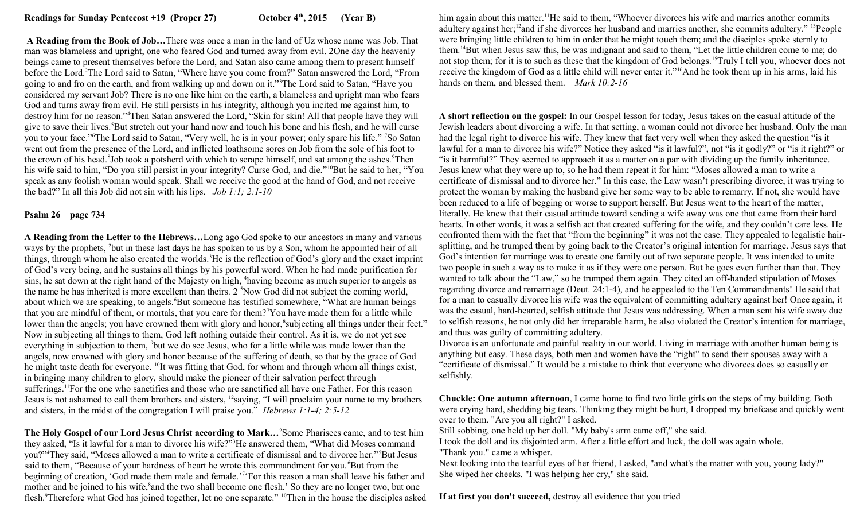**A Reading from the Book of Job…**There was once a man in the land of Uz whose name was Job. That man was blameless and upright, one who feared God and turned away from evil. 2One day the heavenly beings came to present themselves before the Lord, and Satan also came among them to present himself before the Lord.<sup>2</sup>The Lord said to Satan, "Where have you come from?" Satan answered the Lord, "From going to and fro on the earth, and from walking up and down on it."<sup>3</sup>The Lord said to Satan, "Have you considered my servant Job? There is no one like him on the earth, a blameless and upright man who fears God and turns away from evil. He still persists in his integrity, although you incited me against him, to destroy him for no reason."<sup>4</sup>Then Satan answered the Lord, "Skin for skin! All that people have they will give to save their lives.<sup>5</sup>But stretch out your hand now and touch his bone and his flesh, and he will curse you to your face."<sup>6</sup>The Lord said to Satan, "Very well, he is in your power; only spare his life." <sup>7</sup>So Satan went out from the presence of the Lord, and inflicted loathsome sores on Job from the sole of his foot to the crown of his head.<sup>8</sup>Job took a potsherd with which to scrape himself, and sat among the ashes.<sup>9</sup>Then his wife said to him, "Do you still persist in your integrity? Curse God, and die."<sup>10</sup>But he said to her, "You speak as any foolish woman would speak. Shall we receive the good at the hand of God, and not receive the bad?" In all this Job did not sin with his lips. *Job 1:1; 2:1-10*

#### **Psalm 26 page 734**

**A Reading from the Letter to the Hebrews…**Long ago God spoke to our ancestors in many and various ways by the prophets, <sup>2</sup>but in these last days he has spoken to us by a Son, whom he appointed heir of all things, through whom he also created the worlds.<sup>3</sup>He is the reflection of God's glory and the exact imprint of God's very being, and he sustains all things by his powerful word. When he had made purification for sins, he sat down at the right hand of the Majesty on high, <sup>4</sup> having become as much superior to angels as the name he has inherited is more excellent than theirs.  $2 \text{ }^5$ Now God did not subject the coming world, about which we are speaking, to angels. But some has testified somewhere, "What are human beings that you are mindful of them, or mortals, that you care for them?<sup>7</sup>You have made them for a little while lower than the angels; you have crowned them with glory and honor,<sup>8</sup> subjecting all things under their feet." Now in subjecting all things to them, God left nothing outside their control. As it is, we do not yet see everything in subjection to them, <sup>9</sup>but we do see Jesus, who for a little while was made lower than the angels, now crowned with glory and honor because of the suffering of death, so that by the grace of God he might taste death for everyone. <sup>10</sup>It was fitting that God, for whom and through whom all things exist, in bringing many children to glory, should make the pioneer of their salvation perfect through sufferings.<sup>11</sup>For the one who sanctifies and those who are sanctified all have one Father. For this reason Jesus is not ashamed to call them brothers and sisters, <sup>12</sup>saying, "I will proclaim your name to my brothers and sisters, in the midst of the congregation I will praise you." *Hebrews 1:1-4; 2:5-12*

**The Holy Gospel of our Lord Jesus Christ according to Mark…**<sup>2</sup>Some Pharisees came, and to test him they asked, "Is it lawful for a man to divorce his wife?"<sup>3</sup>He answered them, "What did Moses command you?"<sup>4</sup>They said, "Moses allowed a man to write a certificate of dismissal and to divorce her."<sup>5</sup>But Jesus said to them, "Because of your hardness of heart he wrote this commandment for you.<sup>6</sup>But from the beginning of creation, 'God made them male and female.'<sup>7</sup>'For this reason a man shall leave his father and mother and be joined to his wife,<sup>8</sup> and the two shall become one flesh.' So they are no longer two, but one flesh.<sup>9</sup>Therefore what God has joined together, let no one separate." <sup>10</sup>Then in the house the disciples asked him again about this matter.<sup>11</sup>He said to them, "Whoever divorces his wife and marries another commits adultery against her;<sup>12</sup>and if she divorces her husband and marries another, she commits adultery." <sup>13</sup>People were bringing little children to him in order that he might touch them; and the disciples spoke sternly to them.<sup>14</sup>But when Jesus saw this, he was indignant and said to them, "Let the little children come to me; do not stop them; for it is to such as these that the kingdom of God belongs.<sup>15</sup>Truly I tell you, whoever does not receive the kingdom of God as a little child will never enter it."<sup>16</sup>And he took them up in his arms, laid his hands on them, and blessed them. *Mark 10:2-16* 

**A short reflection on the gospel:** In our Gospel lesson for today, Jesus takes on the casual attitude of the Jewish leaders about divorcing a wife. In that setting, a woman could not divorce her husband. Only the man had the legal right to divorce his wife. They knew that fact very well when they asked the question "is it lawful for a man to divorce his wife?" Notice they asked "is it lawful?", not "is it godly?" or "is it right?" or "is it harmful?" They seemed to approach it as a matter on a par with dividing up the family inheritance. Jesus knew what they were up to, so he had them repeat it for him: "Moses allowed a man to write a certificate of dismissal and to divorce her." In this case, the Law wasn't prescribing divorce, it was trying to protect the woman by making the husband give her some way to be able to remarry. If not, she would have been reduced to a life of begging or worse to support herself. But Jesus went to the heart of the matter, literally. He knew that their casual attitude toward sending a wife away was one that came from their hard hearts. In other words, it was a selfish act that created suffering for the wife, and they couldn't care less. He confronted them with the fact that "from the beginning" it was not the case. They appealed to legalistic hairsplitting, and he trumped them by going back to the Creator's original intention for marriage. Jesus says that God's intention for marriage was to create one family out of two separate people. It was intended to unite two people in such a way as to make it as if they were one person. But he goes even further than that. They wanted to talk about the "Law," so he trumped them again. They cited an off-handed stipulation of Moses regarding divorce and remarriage (Deut. 24:1-4), and he appealed to the Ten Commandments! He said that for a man to casually divorce his wife was the equivalent of committing adultery against her! Once again, it was the casual, hard-hearted, selfish attitude that Jesus was addressing. When a man sent his wife away due to selfish reasons, he not only did her irreparable harm, he also violated the Creator's intention for marriage, and thus was guilty of committing adultery.

Divorce is an unfortunate and painful reality in our world. Living in marriage with another human being is anything but easy. These days, both men and women have the "right" to send their spouses away with a "certificate of dismissal." It would be a mistake to think that everyone who divorces does so casually or selfishly.

**Chuckle: One autumn afternoon**, I came home to find two little girls on the steps of my building. Both were crying hard, shedding big tears. Thinking they might be hurt, I dropped my briefcase and quickly went over to them. "Are you all right?" I asked.

Still sobbing, one held up her doll. "My baby's arm came off," she said.

I took the doll and its disjointed arm. After a little effort and luck, the doll was again whole. "Thank you." came a whisper.

Next looking into the tearful eyes of her friend, I asked, "and what's the matter with you, young lady?" She wiped her cheeks. "I was helping her cry," she said.

**If at first you don't succeed,** destroy all evidence that you tried